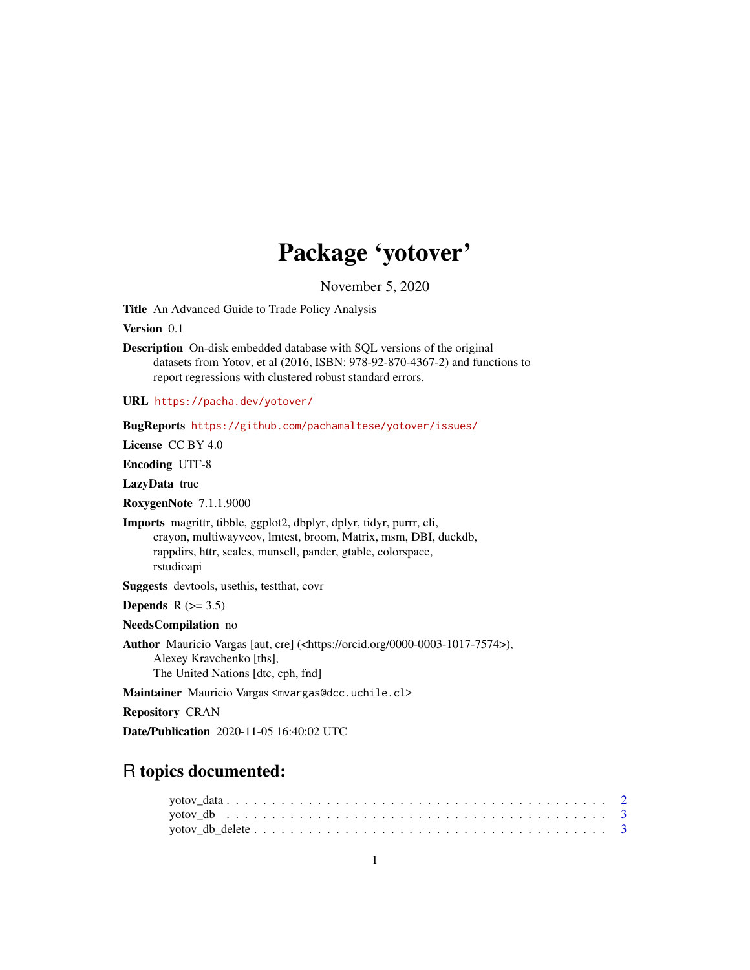## Package 'yotover'

November 5, 2020

<span id="page-0-0"></span>Title An Advanced Guide to Trade Policy Analysis

Version 0.1

Description On-disk embedded database with SQL versions of the original datasets from Yotov, et al (2016, ISBN: 978-92-870-4367-2) and functions to report regressions with clustered robust standard errors.

URL <https://pacha.dev/yotover/>

BugReports <https://github.com/pachamaltese/yotover/issues/>

License CC BY 4.0

Encoding UTF-8

LazyData true

RoxygenNote 7.1.1.9000

Imports magrittr, tibble, ggplot2, dbplyr, dplyr, tidyr, purrr, cli, crayon, multiwayvcov, lmtest, broom, Matrix, msm, DBI, duckdb, rappdirs, httr, scales, munsell, pander, gtable, colorspace, rstudioapi

Suggests devtools, usethis, testthat, covr

Depends  $R$  ( $> = 3.5$ )

NeedsCompilation no

Author Mauricio Vargas [aut, cre] (<https://orcid.org/0000-0003-1017-7574>), Alexey Kravchenko [ths], The United Nations [dtc, cph, fnd]

Maintainer Mauricio Vargas <mvargas@dcc.uchile.cl>

Repository CRAN

Date/Publication 2020-11-05 16:40:02 UTC

## R topics documented: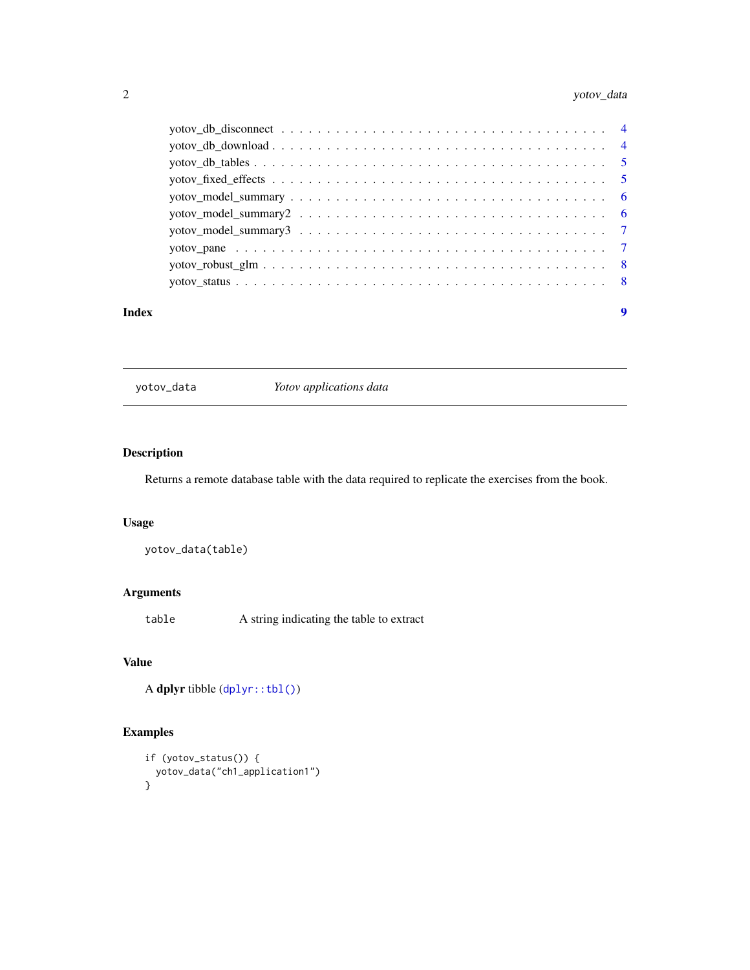## <span id="page-1-0"></span>2 yotov\_data

#### **Index** [9](#page-8-0)

<span id="page-1-1"></span>yotov\_data *Yotov applications data*

## Description

Returns a remote database table with the data required to replicate the exercises from the book.

## Usage

yotov\_data(table)

## Arguments

table A string indicating the table to extract

## Value

A dplyr tibble ([dplyr::tbl\(\)](#page-0-0))

## Examples

```
if (yotov_status()) {
 yotov_data("ch1_application1")
}
```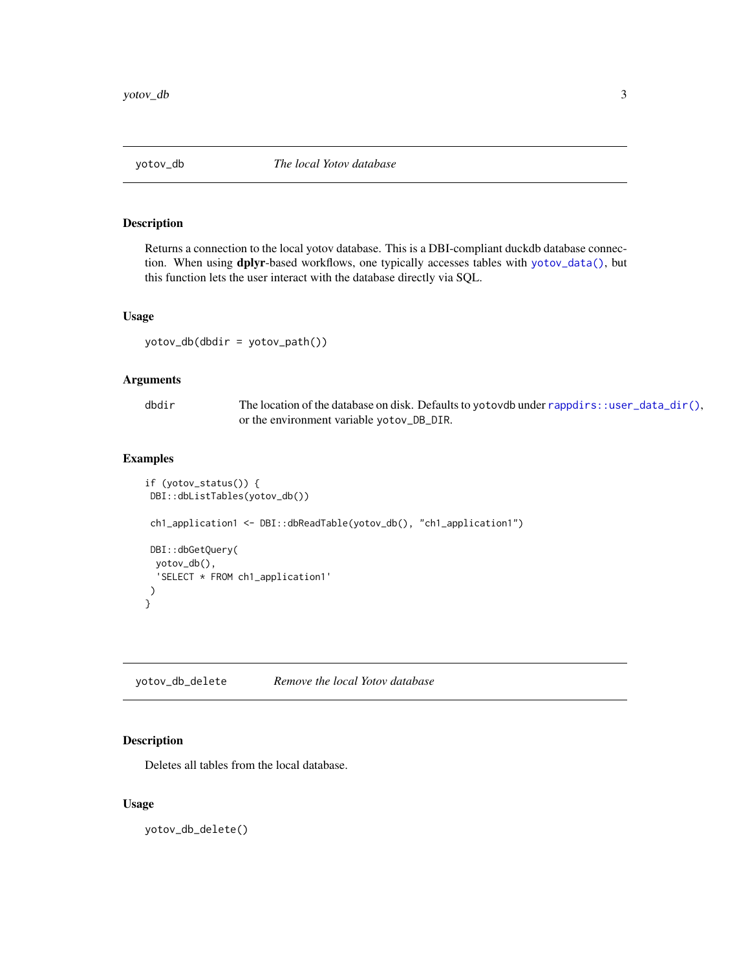<span id="page-2-0"></span>

#### Description

Returns a connection to the local yotov database. This is a DBI-compliant duckdb database connection. When using dplyr-based workflows, one typically accesses tables with [yotov\\_data\(\)](#page-1-1), but this function lets the user interact with the database directly via SQL.

#### Usage

yotov\_db(dbdir = yotov\_path())

#### Arguments

| dbdir | The location of the database on disk. Defaults to yotovdb under rappdirs: : user_data_dir(), |
|-------|----------------------------------------------------------------------------------------------|
|       | or the environment variable yotov_DB_DIR.                                                    |

## Examples

```
if (yotov_status()) {
DBI::dbListTables(yotov_db())
ch1_application1 <- DBI::dbReadTable(yotov_db(), "ch1_application1")
DBI::dbGetQuery(
 yotov_db(),
  'SELECT * FROM ch1_application1'
)
}
```
yotov\_db\_delete *Remove the local Yotov database*

#### Description

Deletes all tables from the local database.

#### Usage

yotov\_db\_delete()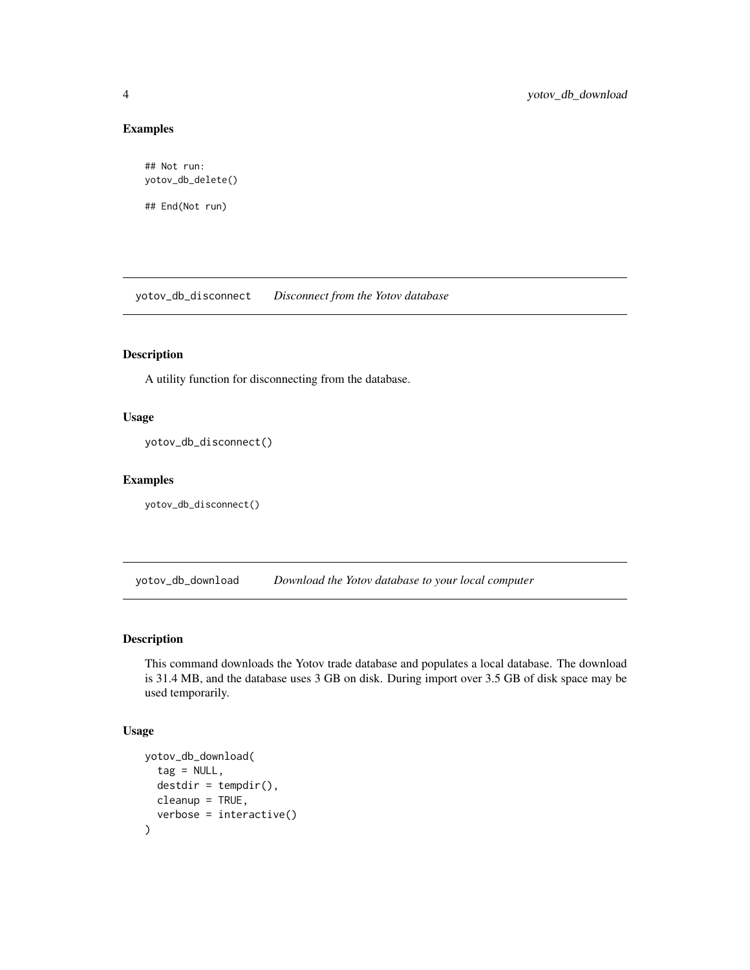### Examples

```
## Not run:
yotov_db_delete()
```
## End(Not run)

yotov\_db\_disconnect *Disconnect from the Yotov database*

## Description

A utility function for disconnecting from the database.

## Usage

```
yotov_db_disconnect()
```
#### Examples

yotov\_db\_disconnect()

yotov\_db\_download *Download the Yotov database to your local computer*

## Description

This command downloads the Yotov trade database and populates a local database. The download is 31.4 MB, and the database uses 3 GB on disk. During import over 3.5 GB of disk space may be used temporarily.

#### Usage

```
yotov_db_download(
  tag = NULL,destdir = tempdir(),cleanup = TRUE,
  verbose = interactive()
\mathcal{E}
```
<span id="page-3-0"></span>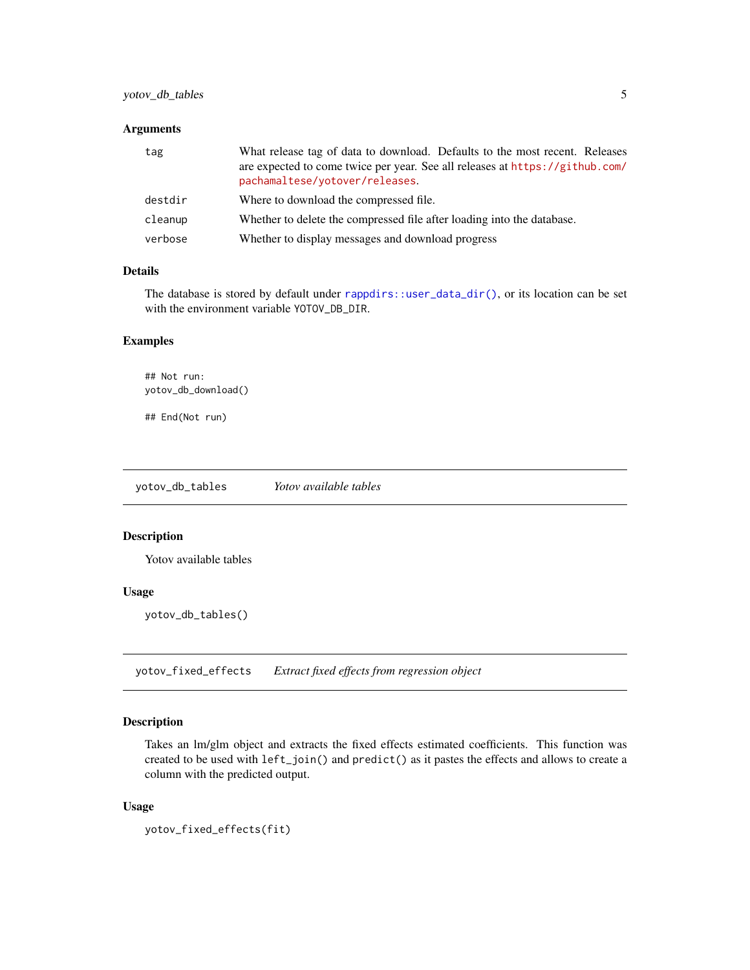#### <span id="page-4-0"></span>Arguments

| tag     | What release tag of data to download. Defaults to the most recent. Releases                                    |
|---------|----------------------------------------------------------------------------------------------------------------|
|         | are expected to come twice per year. See all releases at https://github.com/<br>pachamaltese/yotover/releases. |
| destdir | Where to download the compressed file.                                                                         |
| cleanup | Whether to delete the compressed file after loading into the database.                                         |
| verbose | Whether to display messages and download progress                                                              |

#### Details

The database is stored by default under [rappdirs::user\\_data\\_dir\(\)](#page-0-0), or its location can be set with the environment variable YOTOV\_DB\_DIR.

#### Examples

## Not run: yotov\_db\_download()

## End(Not run)

yotov\_db\_tables *Yotov available tables*

## Description

Yotov available tables

## Usage

yotov\_db\_tables()

yotov\_fixed\_effects *Extract fixed effects from regression object*

#### Description

Takes an lm/glm object and extracts the fixed effects estimated coefficients. This function was created to be used with left\_join() and predict() as it pastes the effects and allows to create a column with the predicted output.

#### Usage

```
yotov_fixed_effects(fit)
```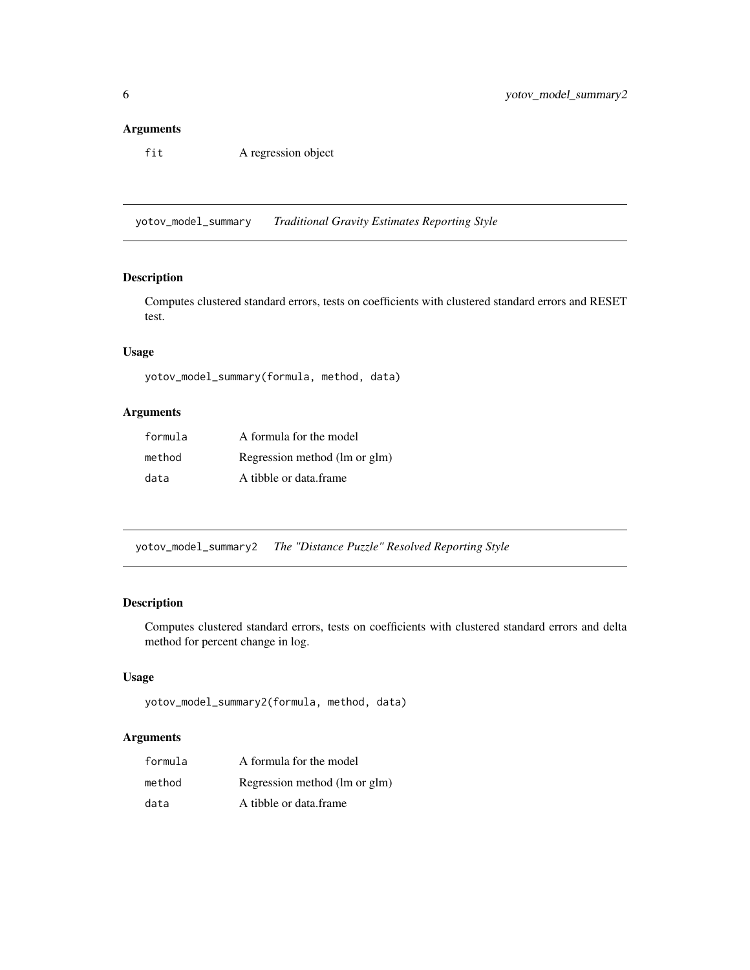#### <span id="page-5-0"></span>Arguments

fit A regression object

yotov\_model\_summary *Traditional Gravity Estimates Reporting Style*

#### Description

Computes clustered standard errors, tests on coefficients with clustered standard errors and RESET test.

## Usage

```
yotov_model_summary(formula, method, data)
```
#### Arguments

| formula | A formula for the model       |
|---------|-------------------------------|
| method  | Regression method (lm or glm) |
| data    | A tibble or data frame        |

yotov\_model\_summary2 *The "Distance Puzzle" Resolved Reporting Style*

## Description

Computes clustered standard errors, tests on coefficients with clustered standard errors and delta method for percent change in log.

#### Usage

```
yotov_model_summary2(formula, method, data)
```
#### Arguments

| formula | A formula for the model       |
|---------|-------------------------------|
| method  | Regression method (lm or glm) |
| data    | A tibble or data frame        |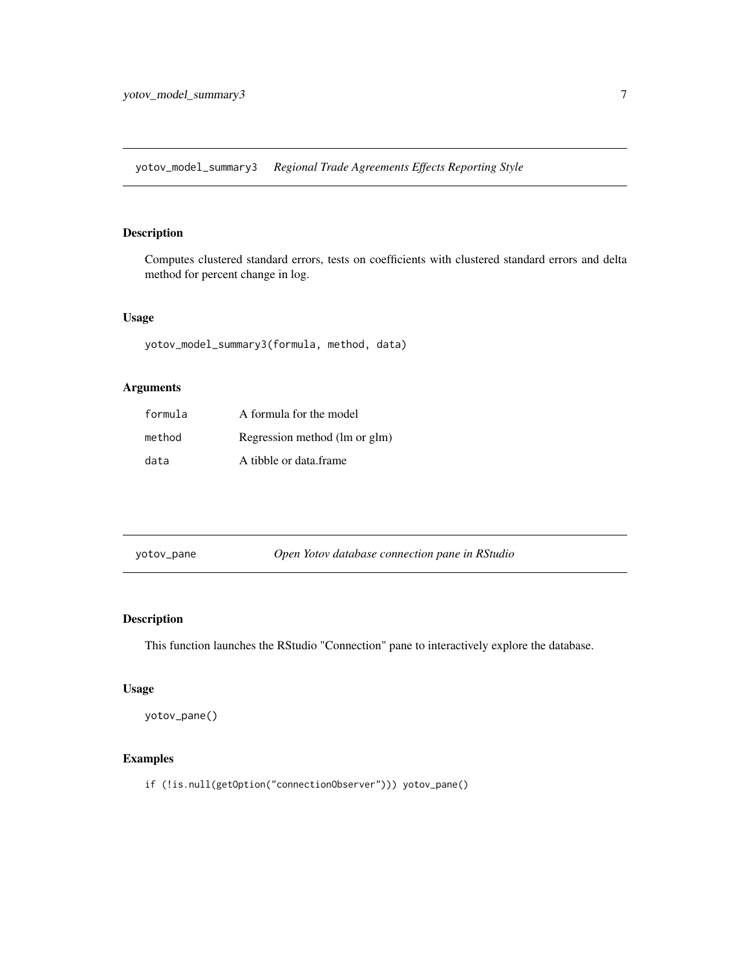<span id="page-6-0"></span>yotov\_model\_summary3 *Regional Trade Agreements Effects Reporting Style*

## Description

Computes clustered standard errors, tests on coefficients with clustered standard errors and delta method for percent change in log.

#### Usage

```
yotov_model_summary3(formula, method, data)
```
## Arguments

| formula | A formula for the model       |
|---------|-------------------------------|
| method  | Regression method (lm or glm) |
| data    | A tibble or data frame        |

| yotov_pane | Open Yotov database connection pane in RStudio |  |
|------------|------------------------------------------------|--|

## Description

This function launches the RStudio "Connection" pane to interactively explore the database.

#### Usage

yotov\_pane()

#### Examples

if (!is.null(getOption("connectionObserver"))) yotov\_pane()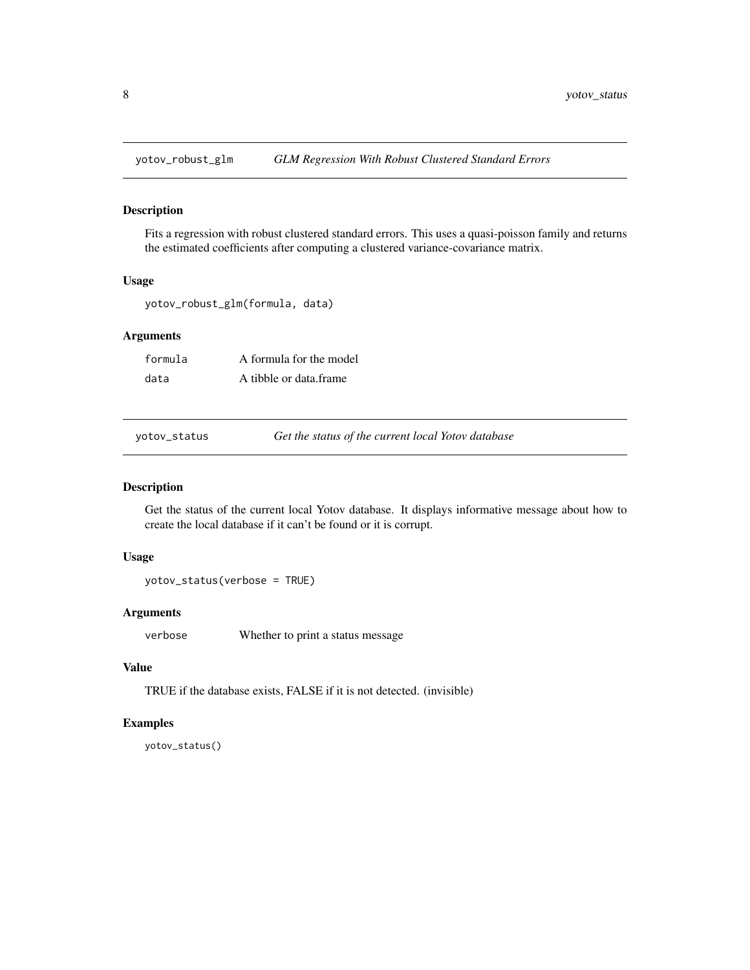<span id="page-7-0"></span>

#### Description

Fits a regression with robust clustered standard errors. This uses a quasi-poisson family and returns the estimated coefficients after computing a clustered variance-covariance matrix.

#### Usage

yotov\_robust\_glm(formula, data)

### Arguments

| formula | A formula for the model |
|---------|-------------------------|
| data    | A tibble or data frame  |

yotov\_status *Get the status of the current local Yotov database*

#### Description

Get the status of the current local Yotov database. It displays informative message about how to create the local database if it can't be found or it is corrupt.

#### Usage

yotov\_status(verbose = TRUE)

## Arguments

verbose Whether to print a status message

## Value

TRUE if the database exists, FALSE if it is not detected. (invisible)

#### Examples

yotov\_status()